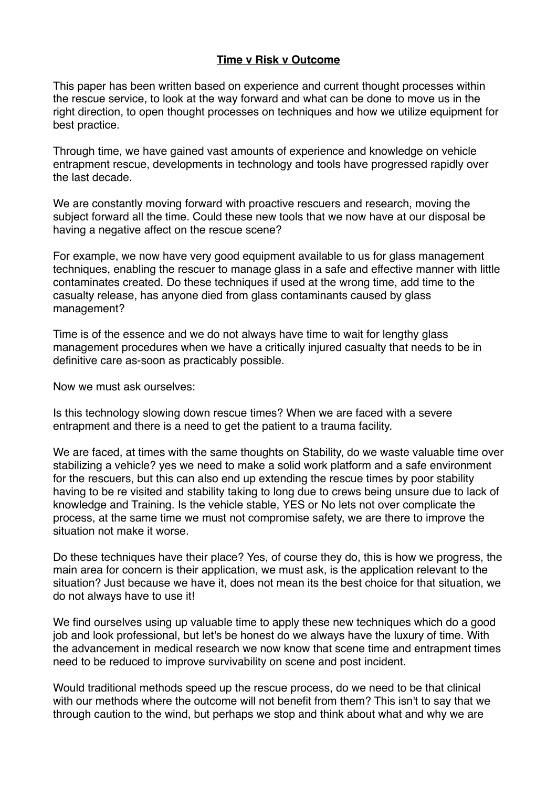## **Time v Risk v Outcome**

This paper has been written based on experience and current thought processes within the rescue service, to look at the way forward and what can be done to move us in the right direction, to open thought processes on techniques and how we utilize equipment for best practice.

Through time, we have gained vast amounts of experience and knowledge on vehicle entrapment rescue, developments in technology and tools have progressed rapidly over the last decade.

We are constantly moving forward with proactive rescuers and research, moving the subject forward all the time. Could these new tools that we now have at our disposal be having a negative affect on the rescue scene?

For example, we now have very good equipment available to us for glass management techniques, enabling the rescuer to manage glass in a safe and effective manner with little contaminates created. Do these techniques if used at the wrong time, add time to the casualty release, has anyone died from glass contaminants caused by glass management?

Time is of the essence and we do not always have time to wait for lengthy glass management procedures when we have a critically injured casualty that needs to be in definitive care as-soon as practicably possible.

Now we must ask ourselves:

Is this technology slowing down rescue times? When we are faced with a severe entrapment and there is a need to get the patient to a trauma facility.

We are faced, at times with the same thoughts on Stability, do we waste valuable time over stabilizing a vehicle? yes we need to make a solid work platform and a safe environment for the rescuers, but this can also end up extending the rescue times by poor stability having to be re visited and stability taking to long due to crews being unsure due to lack of knowledge and Training. Is the vehicle stable, YES or No lets not over complicate the process, at the same time we must not compromise safety, we are there to improve the situation not make it worse.

Do these techniques have their place? Yes, of course they do, this is how we progress, the main area for concern is their application, we must ask, is the application relevant to the situation? Just because we have it, does not mean its the best choice for that situation, we do not always have to use it!

We find ourselves using up valuable time to apply these new techniques which do a good job and look professional, but let's be honest do we always have the luxury of time. With the advancement in medical research we now know that scene time and entrapment times need to be reduced to improve survivability on scene and post incident.

Would traditional methods speed up the rescue process, do we need to be that clinical with our methods where the outcome will not benefit from them? This isn't to say that we through caution to the wind, but perhaps we stop and think about what and why we are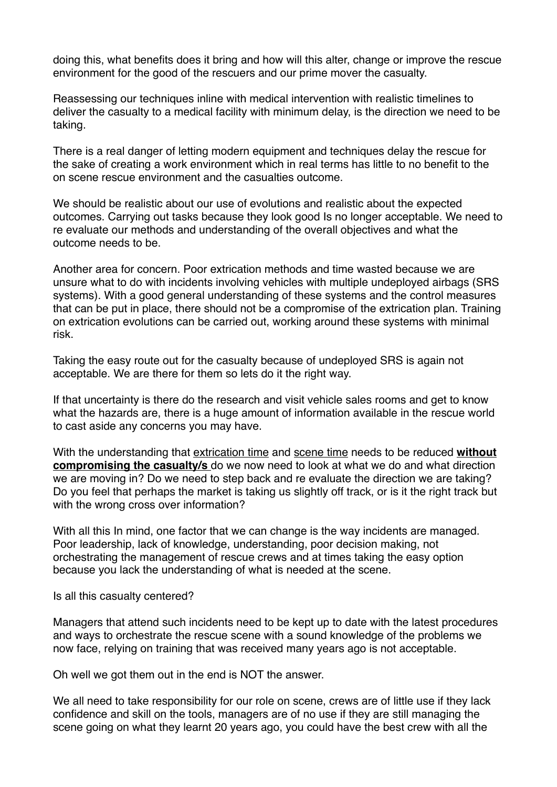doing this, what benefits does it bring and how will this alter, change or improve the rescue environment for the good of the rescuers and our prime mover the casualty.

Reassessing our techniques inline with medical intervention with realistic timelines to deliver the casualty to a medical facility with minimum delay, is the direction we need to be taking.

There is a real danger of letting modern equipment and techniques delay the rescue for the sake of creating a work environment which in real terms has little to no benefit to the on scene rescue environment and the casualties outcome.

We should be realistic about our use of evolutions and realistic about the expected outcomes. Carrying out tasks because they look good Is no longer acceptable. We need to re evaluate our methods and understanding of the overall objectives and what the outcome needs to be.

Another area for concern. Poor extrication methods and time wasted because we are unsure what to do with incidents involving vehicles with multiple undeployed airbags (SRS systems). With a good general understanding of these systems and the control measures that can be put in place, there should not be a compromise of the extrication plan. Training on extrication evolutions can be carried out, working around these systems with minimal risk.

Taking the easy route out for the casualty because of undeployed SRS is again not acceptable. We are there for them so lets do it the right way.

If that uncertainty is there do the research and visit vehicle sales rooms and get to know what the hazards are, there is a huge amount of information available in the rescue world to cast aside any concerns you may have.

With the understanding that extrication time and scene time needs to be reduced **without compromising the casualty/s** do we now need to look at what we do and what direction we are moving in? Do we need to step back and re evaluate the direction we are taking? Do you feel that perhaps the market is taking us slightly off track, or is it the right track but with the wrong cross over information?

With all this In mind, one factor that we can change is the way incidents are managed. Poor leadership, lack of knowledge, understanding, poor decision making, not orchestrating the management of rescue crews and at times taking the easy option because you lack the understanding of what is needed at the scene.

Is all this casualty centered?

Managers that attend such incidents need to be kept up to date with the latest procedures and ways to orchestrate the rescue scene with a sound knowledge of the problems we now face, relying on training that was received many years ago is not acceptable.

Oh well we got them out in the end is NOT the answer.

We all need to take responsibility for our role on scene, crews are of little use if they lack confidence and skill on the tools, managers are of no use if they are still managing the scene going on what they learnt 20 years ago, you could have the best crew with all the